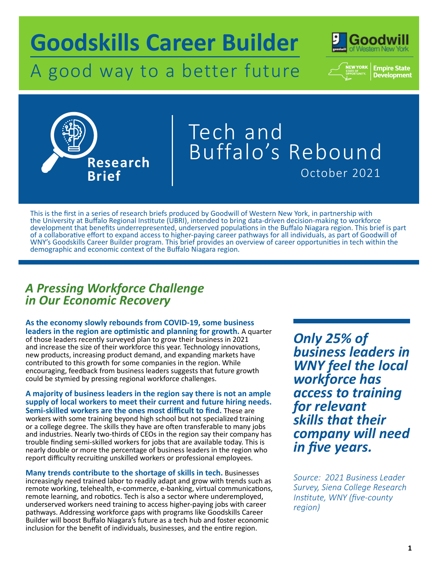# A good way to a better future **Goodskills Career Builder**







## October 2021 Tech and Research **Buffalo's Rebound**

This is the first in a series of research briefs produced by Goodwill of Western New York, in partnership with the University at Buffalo Regional Institute (UBRI), intended to bring data-driven decision-making to workforce development that benefits underrepresented, underserved populations in the Buffalo Niagara region. This brief is part of a collaborative effort to expand access to higher-paying career pathways for all individuals, as part of Goodwill of WNY's Goodskills Career Builder program. This brief provides an overview of career opportunities in tech within the demographic and economic context of the Buffalo Niagara region.

### *A Pressing Workforce Challenge in Our Economic Recovery*

**As the economy slowly rebounds from COVID-19, some business leaders in the region are optimistic and planning for growth.** A quarter of those leaders recently surveyed plan to grow their business in 2021 and increase the size of their workforce this year. Technology innovations, new products, increasing product demand, and expanding markets have contributed to this growth for some companies in the region. While encouraging, feedback from business leaders suggests that future growth could be stymied by pressing regional workforce challenges.

**A majority of business leaders in the region say there is not an ample supply of local workers to meet their current and future hiring needs. Semi-skilled workers are the ones most difficult to find.** These are workers with some training beyond high school but not specialized training or a college degree. The skills they have are often transferable to many jobs and industries. Nearly two-thirds of CEOs in the region say their company has trouble finding semi-skilled workers for jobs that are available today. This is nearly double or more the percentage of business leaders in the region who report difficulty recruiting unskilled workers or professional employees.

**Many trends contribute to the shortage of skills in tech.** Businesses increasingly need trained labor to readily adapt and grow with trends such as remote working, telehealth, e-commerce, e-banking, virtual communications, remote learning, and robotics. Tech is also a sector where underemployed, underserved workers need training to access higher-paying jobs with career pathways. Addressing workforce gaps with programs like Goodskills Career Builder will boost Buffalo Niagara's future as a tech hub and foster economic inclusion for the benefit of individuals, businesses, and the entire region.

*Only 25% of business leaders in WNY feel the local workforce has access to training for relevant skills that their company will need in five years.*

*Source: 2021 Business Leader Survey, Siena College Research Institute, WNY (five-county region)*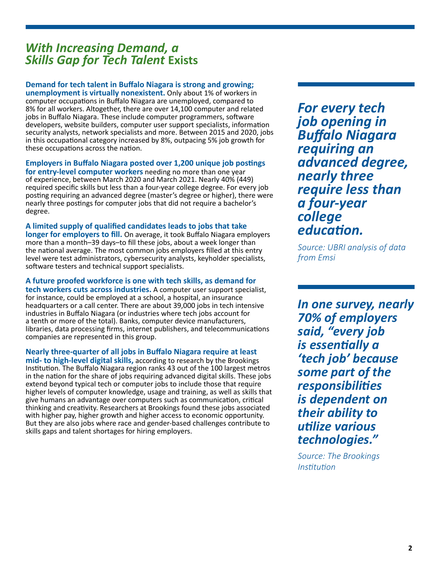### *With Increasing Demand, a Skills Gap for Tech Talent* **Exists**

**Demand for tech talent in Buffalo Niagara is strong and growing; unemployment is virtually nonexistent.** Only about 1% of workers in computer occupations in Buffalo Niagara are unemployed, compared to 8% for all workers. Altogether, there are over 14,100 computer and related jobs in Buffalo Niagara. These include computer programmers, software developers, website builders, computer user support specialists, information security analysts, network specialists and more. Between 2015 and 2020, jobs in this occupational category increased by 8%, outpacing 5% job growth for these occupations across the nation.

**Employers in Buffalo Niagara posted over 1,200 unique job postings** 

**for entry-level computer workers** needing no more than one year of experience, between March 2020 and March 2021. Nearly 40% (449) required specific skills but less than a four-year college degree. For every job posting requiring an advanced degree (master's degree or higher), there were nearly three postings for computer jobs that did not require a bachelor's degree.

**A limited supply of qualified candidates leads to jobs that take** 

**longer for employers to fill.** On average, it took Buffalo Niagara employers more than a month–39 days–to fill these jobs, about a week longer than the national average. The most common jobs employers filled at this entry level were test administrators, cybersecurity analysts, keyholder specialists, software testers and technical support specialists.

### **A future proofed workforce is one with tech skills, as demand for**

**tech workers cuts across industries.** A computer user support specialist, for instance, could be employed at a school, a hospital, an insurance headquarters or a call center. There are about 39,000 jobs in tech intensive industries in Buffalo Niagara (or industries where tech jobs account for a tenth or more of the total). Banks, computer device manufacturers, libraries, data processing firms, internet publishers, and telecommunications companies are represented in this group.

**Nearly three-quarter of all jobs in Buffalo Niagara require at least** 

**mid- to high-level digital skills,** according to research by the Brookings Institution. The Buffalo Niagara region ranks 43 out of the 100 largest metros in the nation for the share of jobs requiring advanced digital skills. These jobs extend beyond typical tech or computer jobs to include those that require higher levels of computer knowledge, usage and training, as well as skills that give humans an advantage over computers such as communication, critical thinking and creativity. Researchers at Brookings found these jobs associated with higher pay, higher growth and higher access to economic opportunity. But they are also jobs where race and gender-based challenges contribute to skills gaps and talent shortages for hiring employers.

*For every tech job opening in Buffalo Niagara requiring an advanced degree, nearly three require less than a four-year college education.* 

*Source: UBRI analysis of data from Emsi*

*In one survey, nearly 70% of employers said, "every job is essentially a 'tech job' because some part of the responsibilities is dependent on their ability to utilize various technologies."*

*Source: The Brookings Institution*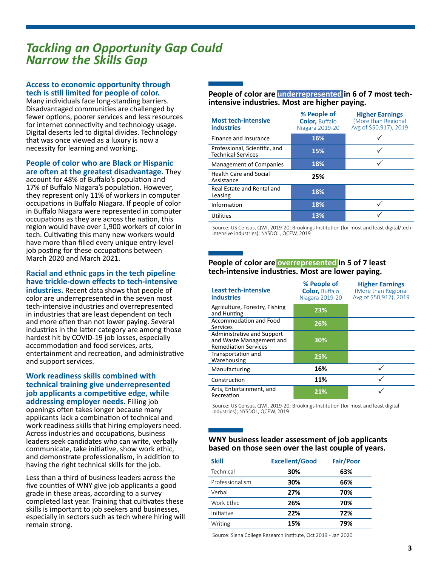### *Tackling an Opportunity Gap Could Narrow the Skills Gap*

### **Access to economic opportunity through tech is still limited for people of color.**

Many individuals face long-standing barriers. Disadvantaged communities are challenged by fewer options, poorer services and less resources for internet connectivity and technology usage. Digital deserts led to digital divides. Technology that was once viewed as a luxury is now a necessity for learning and working.

### **People of color who are Black or Hispanic are often at the greatest disadvantage.** They

account for 48% of Buffalo's population and 17% of Buffalo Niagara's population. However, they represent only 11% of workers in computer occupations in Buffalo Niagara. If people of color in Buffalo Niagara were represented in computer occupations as they are across the nation, this region would have over 1,900 workers of color in tech. Cultivating this many new workers would have more than filled every unique entry-level job posting for these occupations between March 2020 and March 2021.

### **Racial and ethnic gaps in the tech pipeline have trickle-down effects to tech-intensive**

**industries.** Recent data shows that people of color are underrepresented in the seven most tech-intensive industries and overrepresented in industries that are least dependent on tech and more often than not lower paying. Several industries in the latter category are among those hardest hit by COVID-19 job losses, especially accommodation and food services, arts, entertainment and recreation, and administrative and support services.

### **Work readiness skills combined with technical training give underrepresented job applicants a competitive edge, while addressing employer needs.** Filling job

openings often takes longer because many applicants lack a combination of technical and work readiness skills that hiring employers need. Across industries and occupations, business leaders seek candidates who can write, verbally communicate, take initiative, show work ethic, and demonstrate professionalism, in addition to having the right technical skills for the job.

Less than a third of business leaders across the five counties of WNY give job applicants a good grade in these areas, according to a survey completed last year. Training that cultivates these skills is important to job seekers and businesses, especially in sectors such as tech where hiring will remain strong.

### **People of color are underrepresented in 6 of 7 most techintensive industries. Most are higher paying.**

| <b>Most tech-intensive</b><br><b>industries</b>            | % People of<br><b>Color.</b> Buffalo<br>Niagara 2019-20 | <b>Higher Earnings</b><br>(More than Regional<br>Avg of \$50,917), 2019 |
|------------------------------------------------------------|---------------------------------------------------------|-------------------------------------------------------------------------|
| Finance and Insurance                                      | 16%                                                     |                                                                         |
| Professional, Scientific, and<br><b>Technical Services</b> | 15%                                                     |                                                                         |
| <b>Management of Companies</b>                             | 18%                                                     |                                                                         |
| <b>Health Care and Social</b><br>Assistance                | 25%                                                     |                                                                         |
| Real Estate and Rental and<br>Leasing                      | 18%                                                     |                                                                         |
| Information                                                | 18%                                                     |                                                                         |
| Utilities                                                  | 13%                                                     |                                                                         |

Source: US Census, QWI, 2019-20; Brookings Institution (for most and least digital/techintensive industries); NYSDOL, QCEW, 2019

### **People of color are overrepresented in 5 of 7 least tech-intensive industries. Most are lower paying.**

| <b>Least tech-intensive</b><br><b>industries</b>                                      | % People of<br><b>Color, Buffalo</b><br>Niagara 2019-20 | <b>Higher Earnings</b><br>(More than Regional<br>Avg of \$50,917), 2019 |
|---------------------------------------------------------------------------------------|---------------------------------------------------------|-------------------------------------------------------------------------|
| Agriculture, Forestry, Fishing<br>and Hunting                                         | 23%                                                     |                                                                         |
| Accommodation and Food<br><b>Services</b>                                             | 26%                                                     |                                                                         |
| Administrative and Support<br>and Waste Management and<br><b>Remediation Services</b> | 30%                                                     |                                                                         |
| Transportation and<br>Warehousing                                                     | 25%                                                     |                                                                         |
| Manufacturing                                                                         | 16%                                                     |                                                                         |
| Construction                                                                          | 11%                                                     |                                                                         |
| Arts, Entertainment, and<br>Recreation                                                | 21%                                                     |                                                                         |

Source: US Census, QWI, 2019-20; Brookings Institution (for most and least digital industries); NYSDOL, QCEW, 2019

### **WNY business leader assessment of job applicants based on those seen over the last couple of years.**

| <b>Skill</b>    | <b>Excellent/Good</b> | <b>Fair/Poor</b> |
|-----------------|-----------------------|------------------|
| Technical       | 30%                   | 63%              |
| Professionalism | 30%                   | 66%              |
| Verbal          | 27%                   | 70%              |
| Work Ethic      | 26%                   | 70%              |
| Initiative      | 22%                   | 72%              |
| Writing         | 15%                   | 79%              |

Source: Siena College Research Institute, Oct 2019 - Jan 2020